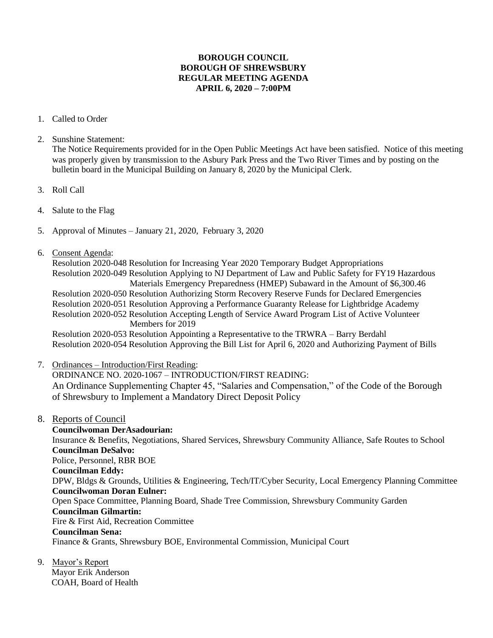## **BOROUGH COUNCIL BOROUGH OF SHREWSBURY REGULAR MEETING AGENDA APRIL 6, 2020 – 7:00PM**

- 1. Called to Order
- 2. Sunshine Statement:

The Notice Requirements provided for in the Open Public Meetings Act have been satisfied. Notice of this meeting was properly given by transmission to the Asbury Park Press and the Two River Times and by posting on the bulletin board in the Municipal Building on January 8, 2020 by the Municipal Clerk.

- 3. Roll Call
- 4. Salute to the Flag
- 5. Approval of Minutes January 21, 2020, February 3, 2020
- 6. Consent Agenda:

Resolution 2020-048 Resolution for Increasing Year 2020 Temporary Budget Appropriations Resolution 2020-049 Resolution Applying to NJ Department of Law and Public Safety for FY19 Hazardous Materials Emergency Preparedness (HMEP) Subaward in the Amount of \$6,300.46 Resolution 2020-050 Resolution Authorizing Storm Recovery Reserve Funds for Declared Emergencies Resolution 2020-051 Resolution Approving a Performance Guaranty Release for Lightbridge Academy Resolution 2020-052 Resolution Accepting Length of Service Award Program List of Active Volunteer Members for 2019

Resolution 2020-053 Resolution Appointing a Representative to the TRWRA – Barry Berdahl Resolution 2020-054 Resolution Approving the Bill List for April 6, 2020 and Authorizing Payment of Bills

7. Ordinances – Introduction/First Reading:

ORDINANCE NO. 2020-1067 – INTRODUCTION/FIRST READING: An Ordinance Supplementing Chapter 45, "Salaries and Compensation," of the Code of the Borough of Shrewsbury to Implement a Mandatory Direct Deposit Policy

8. Reports of Council

 **Councilwoman DerAsadourian:**  Insurance & Benefits, Negotiations, Shared Services, Shrewsbury Community Alliance, Safe Routes to School  **Councilman DeSalvo:** Police, Personnel, RBR BOE **Councilman Eddy:** DPW, Bldgs & Grounds, Utilities & Engineering, Tech/IT/Cyber Security, Local Emergency Planning Committee **Councilwoman Doran Eulner:** Open Space Committee, Planning Board, Shade Tree Commission, Shrewsbury Community Garden **Councilman Gilmartin:** Fire & First Aid, Recreation Committee **Councilman Sena:** Finance & Grants, Shrewsbury BOE, Environmental Commission, Municipal Court

9. Mayor's Report

 Mayor Erik Anderson COAH, Board of Health